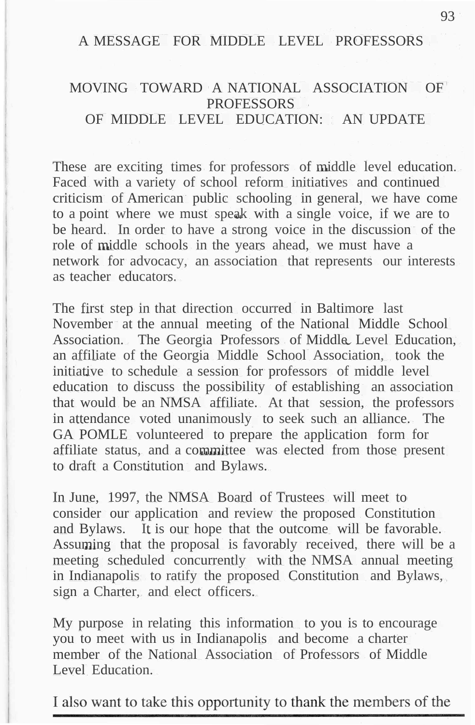## A MESSAGE FOR MIDDLE LEVEL PROFESSORS

## MOVING TOWARD A NATIONAL ASSOCIATION OF **PROFESSORS** OF MIDDLE LEVEL EDUCATION: AN UPDATE

These are exciting times for professors of middle level education. Faced with a variety of school reform initiatives and continued criticism of American public schooling in general, we have come to a point where we must speak with a single voice, if we are to be heard. In order to have a strong voice in the discussion of the role of middle schools in the years ahead, we must have a network for advocacy, an association that represents our interests as teacher educators.

The first step in that direction occurred in Baltimore last November at the annual meeting of the National Middle School Association. The Georgia Professors of Middle Level Education, an affiliate of the Georgia Middle School Association, took the initiative to schedule a session for professors of middle level education to discuss the possibility of establishing an association that would be an NMSA affiliate. At that session, the professors in attendance voted unanimously to seek such an alliance. The GA POMLE volunteered to prepare the application form for affiliate status, and a committee was elected from those present to draft a Constitution and Bylaws.

In June, 1997, the NMSA Board of Trustees will meet to consider our application and review the proposed Constitution and Bylaws. It is our hope that the outcome will be favorable. Assuming that the proposal is favorably received, there will be a meeting scheduled concurrently with the NMSA annual meeting in Indianapolis to ratify the proposed Constitution and Bylaws, sign a Charter, and elect officers.

My purpose in relating this information to you is to encourage you to meet with us in Indianapolis and become a charter member of the National Association of Professors of Middle Level Education.

I also want to take this opportunity to thank the members of the